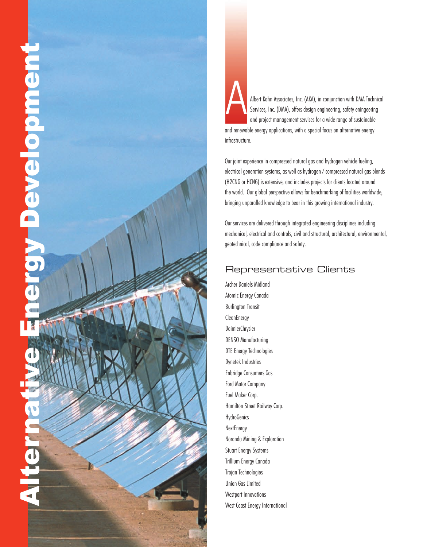



Our joint experience in compressed natural gas and hydrogen vehicle fueling, electrical generation systems, as well as hydrogen / compressed natural gas blends (H2CNG or HCNG) is extensive, and includes projects for clients located around the world. Our global perspective allows for benchmarking of facilities worldwide, bringing unparalled knowledge to bear in this growing international industry.

Our services are delivered through integrated engineering disciplines including mechanical, electrical and controls, civil and structural, architectural, environmental, geotechnical, code compliance and safety.

## Representative Clients

Archer Daniels Midland Atomic Energy Canada Burlington Transit **CleanEnergy** DaimlerChrysler DENSO Manufacturing DTE Energy Technologies Dynetek Industries Enbridge Consumers Gas Ford Motor Company Fuel Maker Corp. Hamilton Street Railway Corp. **HydroGenics NextEnergy** Noranda Mining & Exploration Stuart Energy Systems Trillium Energy Canada Trojan Technologies Union Gas Limited Westport Innovations West Coast Energy International